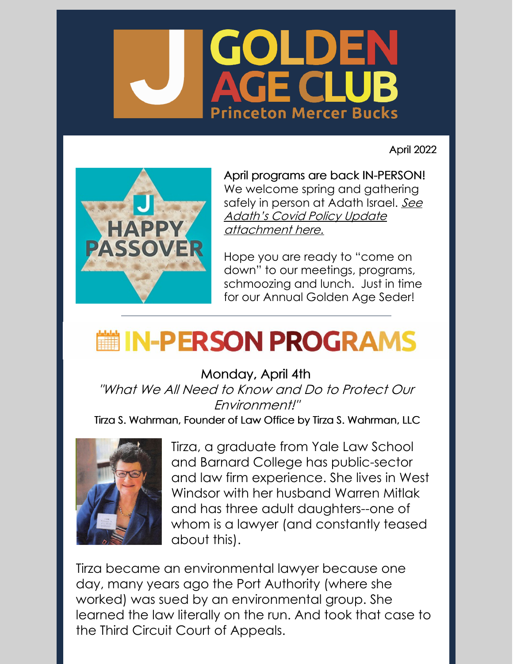

April 2022



April programs are back IN-PERSON! We welcome spring and gathering safely in person at Adath Israel. See Adath's Covid Policy Update [attachment](https://files.constantcontact.com/f855addf801/27570dc4-88bb-44cf-8b5b-f23835429b52.pdf) here.

Hope you are ready to "come on down" to our meetings, programs, schmoozing and lunch. Just in time for our Annual Golden Age Seder!

## **■IN-PERSON PROGRAMS**

Monday, April 4th

"What We All Need to Know and Do to Protect Our Environment!"

Tirza S. Wahrman, Founder of Law Office by Tirza S. Wahrman, LLC



Tirza, a graduate from Yale Law School and Barnard College has public-sector and law firm experience. She lives in West Windsor with her husband Warren Mitlak and has three adult daughters--one of whom is a lawyer (and constantly teased about this).

Tirza became an environmental lawyer because one day, many years ago the Port Authority (where she worked) was sued by an environmental group. She learned the law literally on the run. And took that case to the Third Circuit Court of Appeals.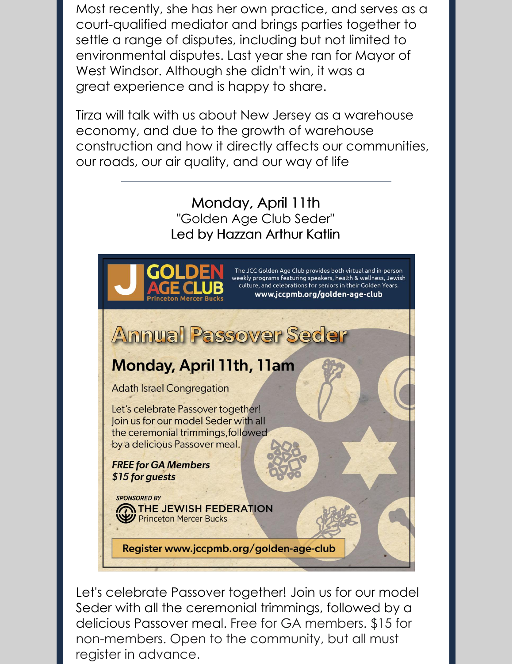Most recently, she has her own practice, and serves as a court-qualified mediator and brings parties together to settle a range of disputes, including but not limited to environmental disputes. Last year she ran for Mayor of West Windsor. Although she didn't win, it was a great experience and is happy to share.

Tirza will talk with us about New Jersey as a warehouse economy, and due to the growth of warehouse construction and how it directly affects our communities, our roads, our air quality, and our way of life

#### Monday, April 11th "Golden Age Club Seder" Led by Hazzan Arthur Katlin



Let's celebrate Passover together! Join us for our model Seder with all the ceremonial trimmings, followed by a delicious Passover meal. Free for GA members. \$15 for non-members. Open to the community, but all must register in advance.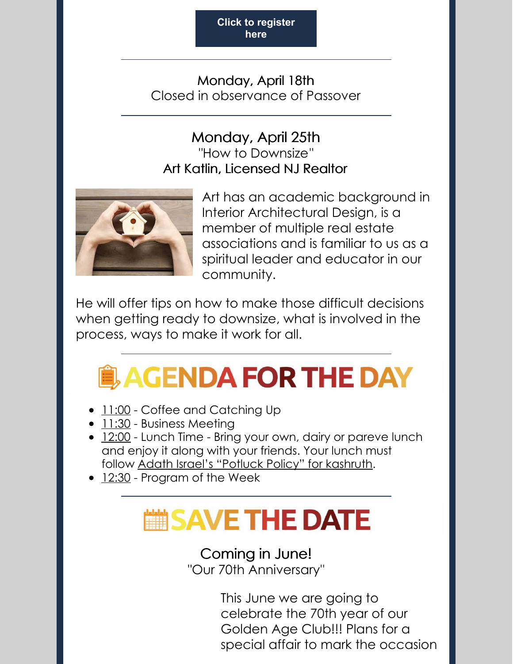**Click to [register](https://www.jccpmb.org/seder) here**

Monday, April 18th Closed in observance of Passover

#### Monday, April 25th "How to Downsize" Art Katlin, Licensed NJ Realtor



Art has an academic background in Interior Architectural Design, is a member of multiple real estate associations and is familiar to us as a spiritual leader and educator in our community.

He will offer tips on how to make those difficult decisions when getting ready to downsize, what is involved in the process, ways to make it work for all.

# **AGENDA FOR THE DAY**

- 11:00 Coffee and Catching Up
- 11:30 Business Meeting
- 12:00 Lunch Time Bring your own, dairy or pareve lunch and enjoy it along with your friends. Your lunch must follow Adath Israel's ["Potluck](https://files.constantcontact.com/f855addf801/83544cf5-4242-4a5d-ad38-6991bb7ca726.pdf) Policy" for kashruth.
- 12:30 Program of the Week

### SAVE THE DATE

### Coming in June!

"Our 70th Anniversary"

This June we are going to celebrate the 70th year of our Golden Age Club!!! Plans for a special affair to mark the occasion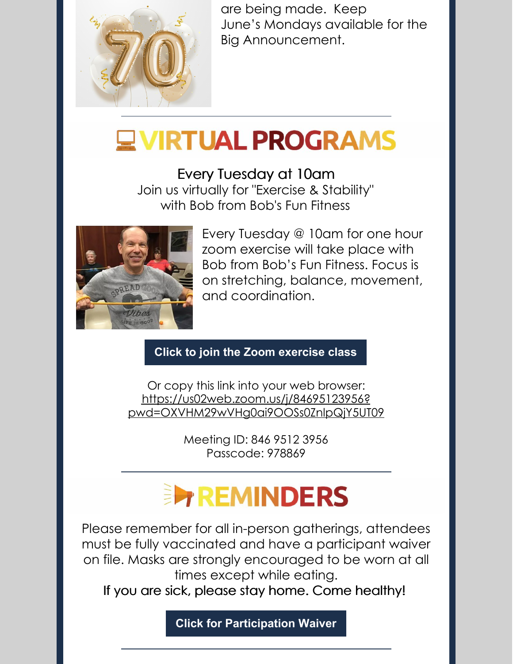

are being made. Keep June's Mondays available for the Big Announcement.

### **EVIRTUAL PROGRAMS**

Every Tuesday at 10am

Join us virtually for "Exercise & Stability" with Bob from Bob's Fun Fitness



Every Tuesday @ 10am for one hour zoom exercise will take place with Bob from Bob's Fun Fitness. Focus is on stretching, balance, movement, and coordination.

#### **Click to join the Zoom [exercise](https://us02web.zoom.us/j/84695123956?pwd=OXVHM29wVHg0ai9OOSs0ZnlpQjY5UT09) class**

Or copy this link into your web browser: https://us02web.zoom.us/j/84695123956? [pwd=OXVHM29wVHg0ai9OOSs0ZnlpQjY5UT09](https://us02web.zoom.us/j/84695123956?pwd=OXVHM29wVHg0ai9OOSs0ZnlpQjY5UT09)

> Meeting ID: 846 9512 3956 Passcode: 978869

## **EXPREMINDERS**

Please remember for all in-person gatherings, attendees must be fully vaccinated and have a participant waiver on file. Masks are strongly encouraged to be worn at all times except while eating.

If you are sick, please stay home. Come healthy!

**Click for [Participation](https://files.constantcontact.com/f855addf801/a0b34546-23a7-42ec-a0eb-e634d2e8e4cd.pdf) Waiver**